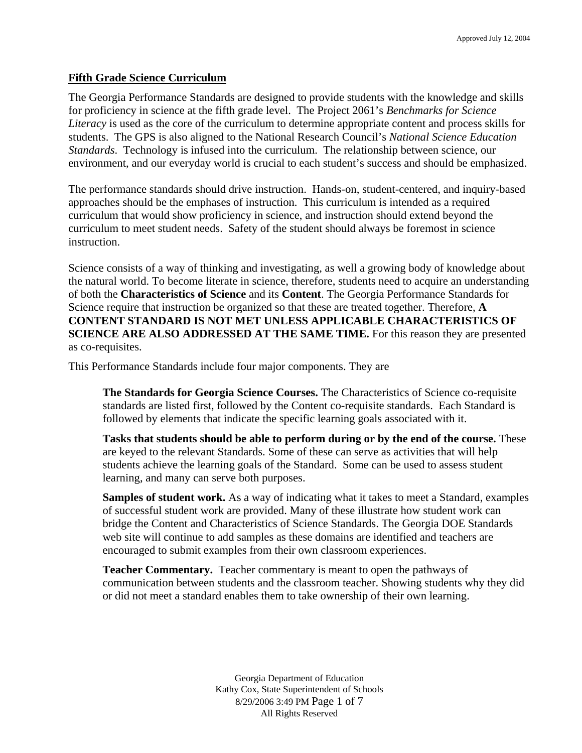#### **Fifth Grade Science Curriculum**

The Georgia Performance Standards are designed to provide students with the knowledge and skills for proficiency in science at the fifth grade level. The Project 2061's *Benchmarks for Science Literacy* is used as the core of the curriculum to determine appropriate content and process skills for students. The GPS is also aligned to the National Research Council's *National Science Education Standards*. Technology is infused into the curriculum. The relationship between science, our environment, and our everyday world is crucial to each student's success and should be emphasized.

The performance standards should drive instruction. Hands-on, student-centered, and inquiry-based approaches should be the emphases of instruction. This curriculum is intended as a required curriculum that would show proficiency in science, and instruction should extend beyond the curriculum to meet student needs. Safety of the student should always be foremost in science instruction.

Science consists of a way of thinking and investigating, as well a growing body of knowledge about the natural world. To become literate in science, therefore, students need to acquire an understanding of both the **Characteristics of Science** and its **Content**. The Georgia Performance Standards for Science require that instruction be organized so that these are treated together. Therefore, **A CONTENT STANDARD IS NOT MET UNLESS APPLICABLE CHARACTERISTICS OF SCIENCE ARE ALSO ADDRESSED AT THE SAME TIME.** For this reason they are presented as co-requisites.

This Performance Standards include four major components. They are

**The Standards for Georgia Science Courses.** The Characteristics of Science co-requisite standards are listed first, followed by the Content co-requisite standards. Each Standard is followed by elements that indicate the specific learning goals associated with it.

**Tasks that students should be able to perform during or by the end of the course.** These are keyed to the relevant Standards. Some of these can serve as activities that will help students achieve the learning goals of the Standard. Some can be used to assess student learning, and many can serve both purposes.

**Samples of student work.** As a way of indicating what it takes to meet a Standard, examples of successful student work are provided. Many of these illustrate how student work can bridge the Content and Characteristics of Science Standards. The Georgia DOE Standards web site will continue to add samples as these domains are identified and teachers are encouraged to submit examples from their own classroom experiences.

**Teacher Commentary.** Teacher commentary is meant to open the pathways of communication between students and the classroom teacher. Showing students why they did or did not meet a standard enables them to take ownership of their own learning.

> Georgia Department of Education Kathy Cox, State Superintendent of Schools 8/29/2006 3:49 PM Page 1 of 7 All Rights Reserved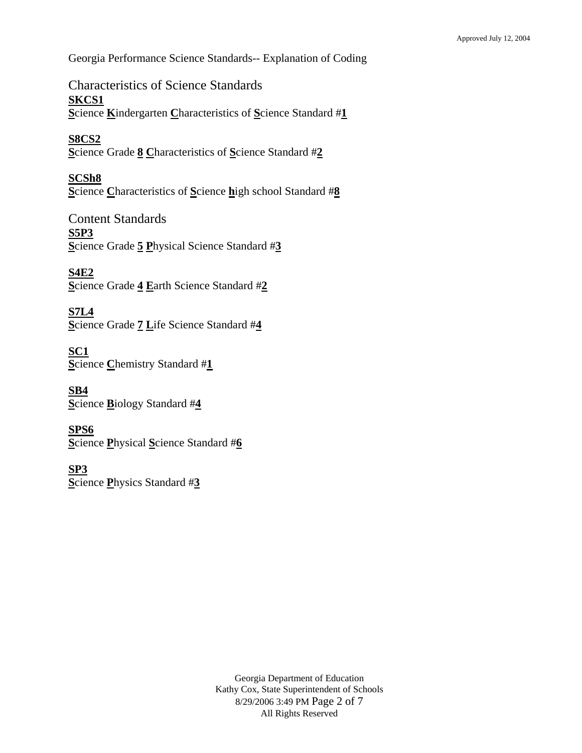Georgia Performance Science Standards-- Explanation of Coding

Characteristics of Science Standards **SKCS1 S**cience **K**indergarten **C**haracteristics of **S**cience Standard #**1**

**S8CS2 S**cience Grade **8 C**haracteristics of **S**cience Standard #**2**

**SCSh8 S**cience **C**haracteristics of **S**cience **h**igh school Standard #**8**

Content Standards **S5P3 S**cience Grade **5 P**hysical Science Standard #**3**

**S4E2 S**cience Grade **4 E**arth Science Standard #**2**

**S7L4 S**cience Grade **7 L**ife Science Standard #**4**

**SC1 S**cience **C**hemistry Standard #**1**

**SB4 S**cience **B**iology Standard #**4**

**SPS6 S**cience **P**hysical **S**cience Standard #**6**

**SP3 S**cience **P**hysics Standard #**3**

> Georgia Department of Education Kathy Cox, State Superintendent of Schools 8/29/2006 3:49 PM Page 2 of 7 All Rights Reserved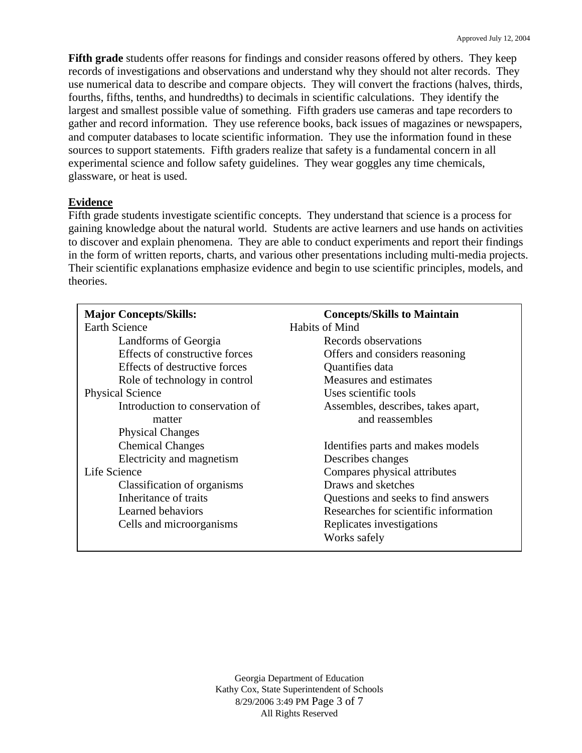**Fifth grade** students offer reasons for findings and consider reasons offered by others. They keep records of investigations and observations and understand why they should not alter records. They use numerical data to describe and compare objects. They will convert the fractions (halves, thirds, fourths, fifths, tenths, and hundredths) to decimals in scientific calculations. They identify the largest and smallest possible value of something. Fifth graders use cameras and tape recorders to gather and record information. They use reference books, back issues of magazines or newspapers, and computer databases to locate scientific information. They use the information found in these sources to support statements. Fifth graders realize that safety is a fundamental concern in all experimental science and follow safety guidelines. They wear goggles any time chemicals, glassware, or heat is used.

## **Evidence**

Fifth grade students investigate scientific concepts. They understand that science is a process for gaining knowledge about the natural world. Students are active learners and use hands on activities to discover and explain phenomena. They are able to conduct experiments and report their findings in the form of written reports, charts, and various other presentations including multi-media projects. Their scientific explanations emphasize evidence and begin to use scientific principles, models, and theories.

| <b>Major Concepts/Skills:</b>   | <b>Concepts/Skills to Maintain</b>    |
|---------------------------------|---------------------------------------|
| <b>Earth Science</b>            | Habits of Mind                        |
| Landforms of Georgia            | Records observations                  |
| Effects of constructive forces  | Offers and considers reasoning        |
| Effects of destructive forces   | Quantifies data                       |
| Role of technology in control   | Measures and estimates                |
| <b>Physical Science</b>         | Uses scientific tools                 |
| Introduction to conservation of | Assembles, describes, takes apart,    |
| matter                          | and reassembles                       |
| <b>Physical Changes</b>         |                                       |
| <b>Chemical Changes</b>         | Identifies parts and makes models     |
| Electricity and magnetism       | Describes changes                     |
| Life Science                    | Compares physical attributes          |
| Classification of organisms     | Draws and sketches                    |
| Inheritance of traits           | Questions and seeks to find answers   |
| Learned behaviors               | Researches for scientific information |
| Cells and microorganisms        | Replicates investigations             |
|                                 | Works safely                          |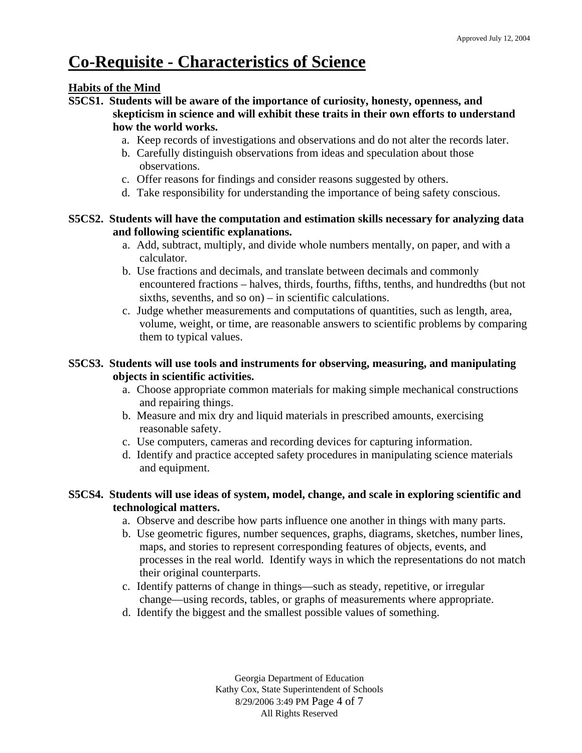# **Co-Requisite - Characteristics of Science**

### **Habits of the Mind**

- **S5CS1. Students will be aware of the importance of curiosity, honesty, openness, and skepticism in science and will exhibit these traits in their own efforts to understand how the world works.** 
	- a. Keep records of investigations and observations and do not alter the records later.
	- b. Carefully distinguish observations from ideas and speculation about those observations.
	- c. Offer reasons for findings and consider reasons suggested by others.
	- d. Take responsibility for understanding the importance of being safety conscious.

### **S5CS2. Students will have the computation and estimation skills necessary for analyzing data and following scientific explanations.**

- a. Add, subtract, multiply, and divide whole numbers mentally, on paper, and with a calculator.
- b. Use fractions and decimals, and translate between decimals and commonly encountered fractions – halves, thirds, fourths, fifths, tenths, and hundredths (but not sixths, sevenths, and so on) – in scientific calculations.
- c. Judge whether measurements and computations of quantities, such as length, area, volume, weight, or time, are reasonable answers to scientific problems by comparing them to typical values.

# **S5CS3. Students will use tools and instruments for observing, measuring, and manipulating objects in scientific activities.**

- a. Choose appropriate common materials for making simple mechanical constructions and repairing things.
- b. Measure and mix dry and liquid materials in prescribed amounts, exercising reasonable safety.
- c. Use computers, cameras and recording devices for capturing information.
- d. Identify and practice accepted safety procedures in manipulating science materials and equipment.

## **S5CS4. Students will use ideas of system, model, change, and scale in exploring scientific and technological matters.**

- a. Observe and describe how parts influence one another in things with many parts.
- b. Use geometric figures, number sequences, graphs, diagrams, sketches, number lines, maps, and stories to represent corresponding features of objects, events, and processes in the real world. Identify ways in which the representations do not match their original counterparts.
- c. Identify patterns of change in things—such as steady, repetitive, or irregular change—using records, tables, or graphs of measurements where appropriate.
- d. Identify the biggest and the smallest possible values of something.

Georgia Department of Education Kathy Cox, State Superintendent of Schools 8/29/2006 3:49 PM Page 4 of 7 All Rights Reserved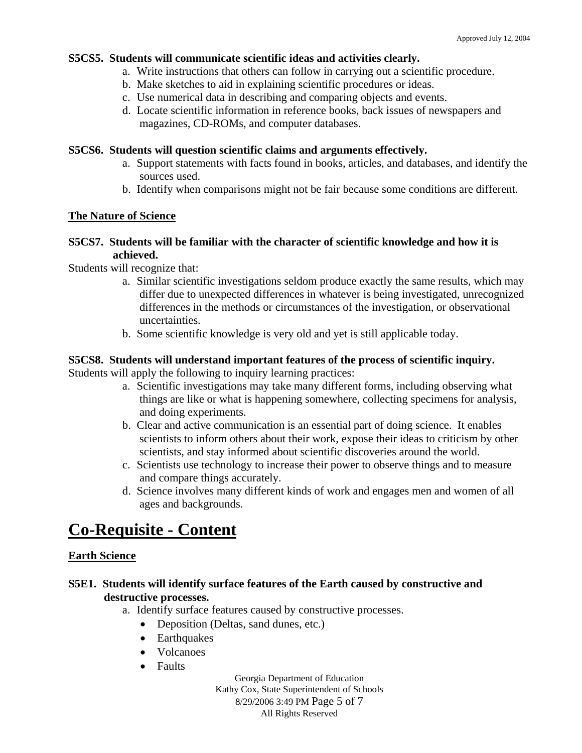### **S5CS5. Students will communicate scientific ideas and activities clearly.**

- a. Write instructions that others can follow in carrying out a scientific procedure.
- b. Make sketches to aid in explaining scientific procedures or ideas.
- c. Use numerical data in describing and comparing objects and events.
- d. Locate scientific information in reference books, back issues of newspapers and magazines, CD-ROMs, and computer databases.

### **S5CS6. Students will question scientific claims and arguments effectively.**

- a. Support statements with facts found in books, articles, and databases, and identify the sources used.
- b. Identify when comparisons might not be fair because some conditions are different.

### **The Nature of Science**

### **S5CS7. Students will be familiar with the character of scientific knowledge and how it is achieved.**

Students will recognize that:

- a. Similar scientific investigations seldom produce exactly the same results, which may differ due to unexpected differences in whatever is being investigated, unrecognized differences in the methods or circumstances of the investigation, or observational uncertainties.
- b. Some scientific knowledge is very old and yet is still applicable today.

## **S5CS8. Students will understand important features of the process of scientific inquiry.**

Students will apply the following to inquiry learning practices:

- a. Scientific investigations may take many different forms, including observing what things are like or what is happening somewhere, collecting specimens for analysis, and doing experiments.
- b. Clear and active communication is an essential part of doing science. It enables scientists to inform others about their work, expose their ideas to criticism by other scientists, and stay informed about scientific discoveries around the world.
- c. Scientists use technology to increase their power to observe things and to measure and compare things accurately.
- d. Science involves many different kinds of work and engages men and women of all ages and backgrounds.

# **Co-Requisite - Content**

### **Earth Science**

## **S5E1. Students will identify surface features of the Earth caused by constructive and destructive processes.**

a. Identify surface features caused by constructive processes.

- Deposition (Deltas, sand dunes, etc.)
- Earthquakes
- Volcanoes
- Faults

Georgia Department of Education Kathy Cox, State Superintendent of Schools 8/29/2006 3:49 PM Page 5 of 7 All Rights Reserved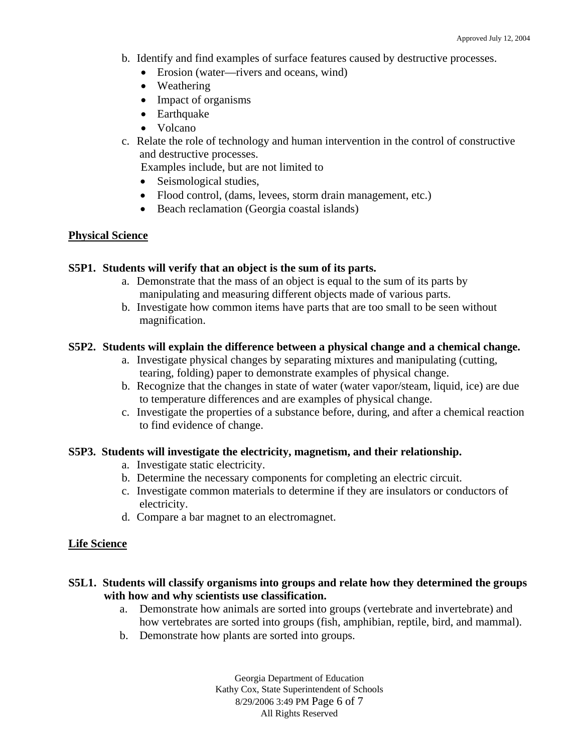- b. Identify and find examples of surface features caused by destructive processes.
	- Erosion (water—rivers and oceans, wind)
	- Weathering
	- Impact of organisms
	- Earthquake
	- Volcano
- c. Relate the role of technology and human intervention in the control of constructive and destructive processes.

Examples include, but are not limited to

- Seismological studies,
- Flood control, (dams, levees, storm drain management, etc.)
- Beach reclamation (Georgia coastal islands)

### **Physical Science**

### **S5P1. Students will verify that an object is the sum of its parts.**

- a. Demonstrate that the mass of an object is equal to the sum of its parts by manipulating and measuring different objects made of various parts.
- b. Investigate how common items have parts that are too small to be seen without magnification.

### **S5P2. Students will explain the difference between a physical change and a chemical change.**

- a. Investigate physical changes by separating mixtures and manipulating (cutting, tearing, folding) paper to demonstrate examples of physical change.
- b. Recognize that the changes in state of water (water vapor/steam, liquid, ice) are due to temperature differences and are examples of physical change.
- c. Investigate the properties of a substance before, during, and after a chemical reaction to find evidence of change.

### **S5P3. Students will investigate the electricity, magnetism, and their relationship.**

- a. Investigate static electricity.
- b. Determine the necessary components for completing an electric circuit.
- c. Investigate common materials to determine if they are insulators or conductors of electricity.
- d. Compare a bar magnet to an electromagnet.

### **Life Science**

- **S5L1. Students will classify organisms into groups and relate how they determined the groups with how and why scientists use classification.** 
	- a. Demonstrate how animals are sorted into groups (vertebrate and invertebrate) and how vertebrates are sorted into groups (fish, amphibian, reptile, bird, and mammal).
	- b. Demonstrate how plants are sorted into groups.

Georgia Department of Education Kathy Cox, State Superintendent of Schools 8/29/2006 3:49 PM Page 6 of 7 All Rights Reserved